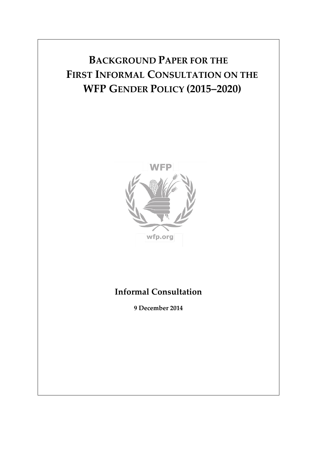# **BACKGROUND PAPER FOR THE FIRST INFORMAL CONSULTATION ON THE WFP GENDER POLICY (2015–2020)**



# **Informal Consultation**

**9 December 2014**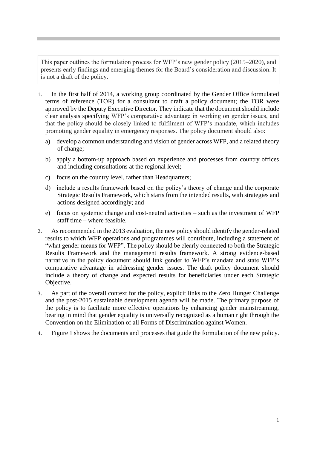This paper outlines the formulation process for WFP's new gender policy (2015–2020), and presents early findings and emerging themes for the Board's consideration and discussion. It is not a draft of the policy.

- 1. In the first half of 2014, a working group coordinated by the Gender Office formulated terms of reference (TOR) for a consultant to draft a policy document; the TOR were approved by the Deputy Executive Director. They indicate that the document should include clear analysis specifying WFP's comparative advantage in working on gender issues, and that the policy should be closely linked to fulfilment of WFP's mandate, which includes promoting gender equality in emergency responses. The policy document should also:
	- a) develop a common understanding and vision of gender across WFP, and a related theory of change;
	- b) apply a bottom-up approach based on experience and processes from country offices and including consultations at the regional level;
	- c) focus on the country level, rather than Headquarters;
	- d) include a results framework based on the policy's theory of change and the corporate Strategic Results Framework, which starts from the intended results, with strategies and actions designed accordingly; and
	- e) focus on systemic change and cost-neutral activities such as the investment of WFP staff time – where feasible.
- 2. As recommended in the 2013 evaluation, the new policy should identify the gender-related results to which WFP operations and programmes will contribute, including a statement of "what gender means for WFP". The policy should be clearly connected to both the Strategic Results Framework and the management results framework. A strong evidence-based narrative in the policy document should link gender to WFP's mandate and state WFP's comparative advantage in addressing gender issues. The draft policy document should include a theory of change and expected results for beneficiaries under each Strategic Objective.
- 3. As part of the overall context for the policy, explicit links to the Zero Hunger Challenge and the post-2015 sustainable development agenda will be made. The primary purpose of the policy is to facilitate more effective operations by enhancing gender mainstreaming, bearing in mind that gender equality is universally recognized as a human right through the Convention on the Elimination of all Forms of Discrimination against Women.
- 4. Figure 1 shows the documents and processes that guide the formulation of the new policy.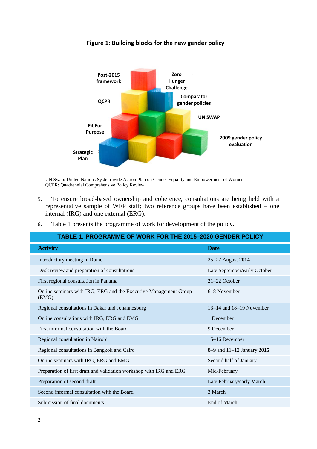

**Figure 1: Building blocks for the new gender policy**

UN Swap: United Nations System-wide Action Plan on Gender Equality and Empowerment of Women QCPR: Quadrennial Comprehensive Policy Review

- 5. To ensure broad-based ownership and coherence, consultations are being held with a representative sample of WFP staff; two reference groups have been established – one internal (IRG) and one external (ERG).
- 6. Table 1 presents the programme of work for development of the policy.

| TABLE 1: PROGRAMME OF WORK FOR THE 2015-2020 GENDER POLICY                |                              |  |
|---------------------------------------------------------------------------|------------------------------|--|
| <b>Activity</b>                                                           | <b>Date</b>                  |  |
| Introductory meeting in Rome                                              | 25–27 August 2014            |  |
| Desk review and preparation of consultations                              | Late September/early October |  |
| First regional consultation in Panama                                     | $21-22$ October              |  |
| Online seminars with IRG, ERG and the Executive Management Group<br>(EMG) | 6–8 November                 |  |
| Regional consultations in Dakar and Johannesburg                          | $13-14$ and $18-19$ November |  |
| Online consultations with IRG, ERG and EMG                                | 1 December                   |  |
| First informal consultation with the Board                                | 9 December                   |  |
| Regional consultation in Nairobi                                          | 15–16 December               |  |
| Regional consultations in Bangkok and Cairo                               | 8-9 and 11-12 January 2015   |  |
| Online seminars with IRG, ERG and EMG                                     | Second half of January       |  |
| Preparation of first draft and validation workshop with IRG and ERG       | Mid-February                 |  |
| Preparation of second draft                                               | Late February/early March    |  |
| Second informal consultation with the Board                               | 3 March                      |  |
| Submission of final documents                                             | End of March                 |  |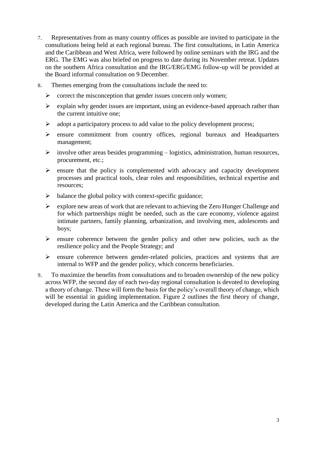- 7. Representatives from as many country offices as possible are invited to participate in the consultations being held at each regional bureau. The first consultations, in Latin America and the Caribbean and West Africa, were followed by online seminars with the IRG and the ERG. The EMG was also briefed on progress to date during its November retreat. Updates on the southern Africa consultation and the IRG/ERG/EMG follow-up will be provided at the Board informal consultation on 9 December.
- 8. Themes emerging from the consultations include the need to:
	- $\triangleright$  correct the misconception that gender issues concern only women;
	- $\triangleright$  explain why gender issues are important, using an evidence-based approach rather than the current intuitive one;
	- $\triangleright$  adopt a participatory process to add value to the policy development process;
	- ensure commitment from country offices, regional bureaux and Headquarters management;
	- $\triangleright$  involve other areas besides programming logistics, administration, human resources, procurement, etc.;
	- $\triangleright$  ensure that the policy is complemented with advocacy and capacity development processes and practical tools, clear roles and responsibilities, technical expertise and resources;
	- $\triangleright$  balance the global policy with context-specific guidance;
	- $\triangleright$  explore new areas of work that are relevant to achieving the Zero Hunger Challenge and for which partnerships might be needed, such as the care economy, violence against intimate partners, family planning, urbanization, and involving men, adolescents and boys;
	- $\triangleright$  ensure coherence between the gender policy and other new policies, such as the resilience policy and the People Strategy; and
	- $\triangleright$  ensure coherence between gender-related policies, practices and systems that are internal to WFP and the gender policy, which concerns beneficiaries.
- 9. To maximize the benefits from consultations and to broaden ownership of the new policy across WFP, the second day of each two-day regional consultation is devoted to developing a theory of change. These will form the basis for the policy's overall theory of change, which will be essential in guiding implementation. Figure 2 outlines the first theory of change, developed during the Latin America and the Caribbean consultation.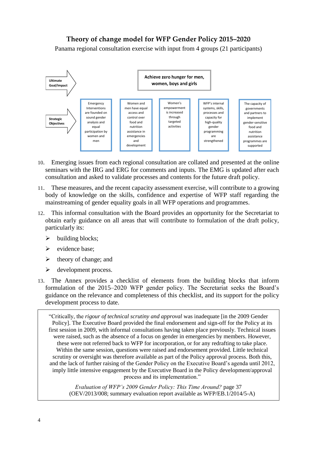#### **Theory of change model for WFP Gender Policy 2015–2020 Figure 2: Theory of change model for WFP Gender Policy (2015–2020)**

Panama regional consultation exercise with input from 4 groups (21 participants)



- 10. Emerging issues from each regional consultation are collated and presented at the online seminars with the IRG and ERG for comments and inputs. The EMG is updated after each consultation and asked to validate processes and contents for the future draft policy.
- 11. These measures, and the recent capacity assessment exercise, will contribute to a growing body of knowledge on the skills, confidence and expertise of WFP staff regarding the mainstreaming of gender equality goals in all WFP operations and programmes.
- 12. This informal consultation with the Board provides an opportunity for the Secretariat to obtain early guidance on all areas that will contribute to formulation of the draft policy, particularly its:
	- $\triangleright$  building blocks;
	- $\triangleright$  evidence base;
	- $\blacktriangleright$  theory of change; and
	- $\triangleright$  development process.
- 13. The Annex provides a checklist of elements from the building blocks that inform formulation of the 2015–2020 WFP gender policy. The Secretariat seeks the Board's guidance on the relevance and completeness of this checklist, and its support for the policy development process to date.

"Critically, the *rigour of technical scrutiny and approval* was inadequate [in the 2009 Gender Policy]. The Executive Board provided the final endorsement and sign-off for the Policy at its first session in 2009, with informal consultations having taken place previously. Technical issues were raised, such as the absence of a focus on gender in emergencies by members. However, these were not referred back to WFP for incorporation, or for any redrafting to take place. Within the same session, questions were raised and endorsement provided. Little technical scrutiny or oversight was therefore available as part of the Policy approval process. Both this, and the lack of further raising of the Gender Policy on the Executive Board's agenda until 2012, imply little intensive engagement by the Executive Board in the Policy development/approval process and its implementation."

*Evaluation of WFP's 2009 Gender Policy: This Time Around?* page 37 (OEV/2013/008; summary evaluation report available as WFP/EB.1/2014/5-A)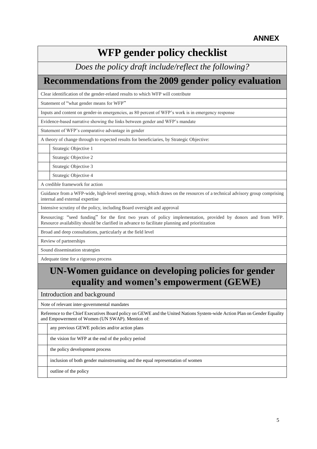# **WFP gender policy checklist**

*Does the policy draft include/reflect the following?*

### **Recommendations from the 2009 gender policy evaluation**

Clear identification of the gender-related results to which WFP will contribute

Statement of "what gender means for WFP"

Inputs and content on gender-in emergencies, as 80 percent of WFP's work is in emergency response

Evidence-based narrative showing the links between gender and WFP's mandate

Statement of WFP's comparative advantage in gender

A theory of change through to expected results for beneficiaries, by Strategic Objective:

Strategic Objective 1

Strategic Objective 2

Strategic Objective 3

Strategic Objective 4

A credible framework for action

Guidance from a WFP-wide, high-level steering group, which draws on the resources of a technical advisory group comprising internal and external expertise

Intensive scrutiny of the policy, including Board oversight and approval

Resourcing: "seed funding" for the first two years of policy implementation, provided by donors and from WFP. Resource availability should be clarified in advance to facilitate planning and prioritization

Broad and deep consultations, particularly at the field level

Review of partnerships

Sound dissemination strategies

Adequate time for a rigorous process

#### **UN-Women guidance on developing policies for gender equality and women's empowerment (GEWE)**

Introduction and background

Note of relevant inter-governmental mandates

Reference to the Chief Executives Board policy on GEWE and the United Nations System-wide Action Plan on Gender Equality and Empowerment of Women (UN SWAP). Mention of:

any previous GEWE policies and/or action plans

the vision for WFP at the end of the policy period

the policy development process

inclusion of both gender mainstreaming and the equal representation of women

outline of the policy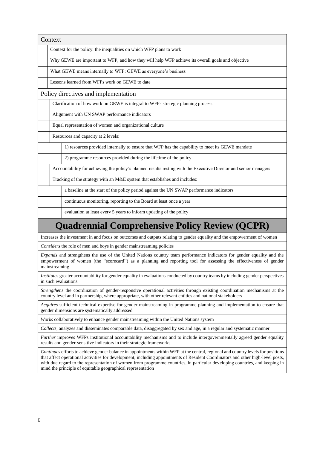| Context                                                                                                                                                                                                                                                                                                                                                                                                                                                           |                                                                                                   |                                                                                                                       |  |
|-------------------------------------------------------------------------------------------------------------------------------------------------------------------------------------------------------------------------------------------------------------------------------------------------------------------------------------------------------------------------------------------------------------------------------------------------------------------|---------------------------------------------------------------------------------------------------|-----------------------------------------------------------------------------------------------------------------------|--|
|                                                                                                                                                                                                                                                                                                                                                                                                                                                                   | Context for the policy: the inequalities on which WFP plans to work                               |                                                                                                                       |  |
|                                                                                                                                                                                                                                                                                                                                                                                                                                                                   | Why GEWE are important to WFP, and how they will help WFP achieve its overall goals and objective |                                                                                                                       |  |
|                                                                                                                                                                                                                                                                                                                                                                                                                                                                   | What GEWE means internally to WFP: GEWE as everyone's business                                    |                                                                                                                       |  |
| Lessons learned from WFPs work on GEWE to date                                                                                                                                                                                                                                                                                                                                                                                                                    |                                                                                                   |                                                                                                                       |  |
| Policy directives and implementation                                                                                                                                                                                                                                                                                                                                                                                                                              |                                                                                                   |                                                                                                                       |  |
| Clarification of how work on GEWE is integral to WFPs strategic planning process                                                                                                                                                                                                                                                                                                                                                                                  |                                                                                                   |                                                                                                                       |  |
| Alignment with UN SWAP performance indicators                                                                                                                                                                                                                                                                                                                                                                                                                     |                                                                                                   |                                                                                                                       |  |
|                                                                                                                                                                                                                                                                                                                                                                                                                                                                   | Equal representation of women and organizational culture                                          |                                                                                                                       |  |
|                                                                                                                                                                                                                                                                                                                                                                                                                                                                   | Resources and capacity at 2 levels:                                                               |                                                                                                                       |  |
|                                                                                                                                                                                                                                                                                                                                                                                                                                                                   |                                                                                                   | 1) resources provided internally to ensure that WFP has the capability to meet its GEWE mandate                       |  |
|                                                                                                                                                                                                                                                                                                                                                                                                                                                                   |                                                                                                   | 2) programme resources provided during the lifetime of the policy                                                     |  |
|                                                                                                                                                                                                                                                                                                                                                                                                                                                                   |                                                                                                   | Accountability for achieving the policy's planned results resting with the Executive Director and senior managers     |  |
|                                                                                                                                                                                                                                                                                                                                                                                                                                                                   |                                                                                                   | Tracking of the strategy with an M&E system that establishes and includes:                                            |  |
|                                                                                                                                                                                                                                                                                                                                                                                                                                                                   |                                                                                                   | a baseline at the start of the policy period against the UN SWAP performance indicators                               |  |
|                                                                                                                                                                                                                                                                                                                                                                                                                                                                   |                                                                                                   | continuous monitoring, reporting to the Board at least once a year                                                    |  |
|                                                                                                                                                                                                                                                                                                                                                                                                                                                                   |                                                                                                   | evaluation at least every 5 years to inform updating of the policy                                                    |  |
| <b>Quadrennial Comprehensive Policy Review (QCPR)</b>                                                                                                                                                                                                                                                                                                                                                                                                             |                                                                                                   |                                                                                                                       |  |
| Increases the investment in and focus on outcomes and outputs relating to gender equality and the empowerment of women                                                                                                                                                                                                                                                                                                                                            |                                                                                                   |                                                                                                                       |  |
| Considers the role of men and boys in gender mainstreaming policies                                                                                                                                                                                                                                                                                                                                                                                               |                                                                                                   |                                                                                                                       |  |
| Expands and strengthens the use of the United Nations country team performance indicators for gender equality and the<br>empowerment of women (the "scorecard") as a planning and reporting tool for assessing the effectiveness of gender<br>mainstreaming                                                                                                                                                                                                       |                                                                                                   |                                                                                                                       |  |
| Institutes greater accountability for gender equality in evaluations conducted by country teams by including gender perspectives<br>in such evaluations                                                                                                                                                                                                                                                                                                           |                                                                                                   |                                                                                                                       |  |
| Strengthens the coordination of gender-responsive operational activities through existing coordination mechanisms at the<br>country level and in partnership, where appropriate, with other relevant entities and national stakeholders                                                                                                                                                                                                                           |                                                                                                   |                                                                                                                       |  |
| Acquires sufficient technical expertise for gender mainstreaming in programme planning and implementation to ensure that<br>gender dimensions are systematically addressed                                                                                                                                                                                                                                                                                        |                                                                                                   |                                                                                                                       |  |
| Works collaboratively to enhance gender mainstreaming within the United Nations system                                                                                                                                                                                                                                                                                                                                                                            |                                                                                                   |                                                                                                                       |  |
|                                                                                                                                                                                                                                                                                                                                                                                                                                                                   |                                                                                                   | Collects, analyzes and disseminates comparable data, disaggregated by sex and age, in a regular and systematic manner |  |
| Further improves WFPs institutional accountability mechanisms and to include intergovernmentally agreed gender equality<br>results and gender-sensitive indicators in their strategic frameworks                                                                                                                                                                                                                                                                  |                                                                                                   |                                                                                                                       |  |
| Continues efforts to achieve gender balance in appointments within WFP at the central, regional and country levels for positions<br>that affect operational activities for development, including appointments of Resident Coordinators and other high-level posts,<br>with due regard to the representation of women from programme countries, in particular developing countries, and keeping in<br>mind the principle of equitable geographical representation |                                                                                                   |                                                                                                                       |  |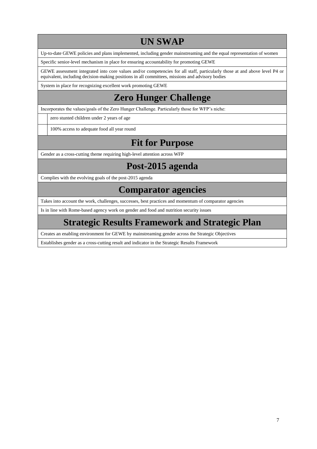# **UN SWAP**

Up-to-date GEWE policies and plans implemented, including gender mainstreaming and the equal representation of women

Specific senior-level mechanism in place for ensuring accountability for promoting GEWE

GEWE assessment integrated into core values and/or competencies for all staff, particularly those at and above level P4 or equivalent, including decision-making positions in all committees, missions and advisory bodies

System in place for recognizing excellent work promoting GEWE

### **Zero Hunger Challenge**

Incorporates the values/goals of the Zero Hunger Challenge. Particularly those for WFP's niche:

zero stunted children under 2 years of age

100% access to adequate food all year round

### **Fit for Purpose**

Gender as a cross-cutting theme requiring high-level attention across WFP

### **Post-2015 agenda**

Complies with the evolving goals of the post-2015 agenda

#### **Comparator agencies**

Takes into account the work, challenges, successes, best practices and momentum of comparator agencies

Is in line with Rome-based agency work on gender and food and nutrition security issues

### **Strategic Results Framework and Strategic Plan**

Creates an enabling environment for GEWE by mainstreaming gender across the Strategic Objectives

Establishes gender as a cross-cutting result and indicator in the Strategic Results Framework